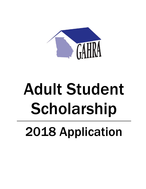

# Adult Student Scholarship 2018 Application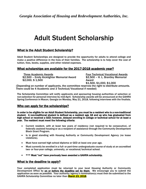## Adult Student Scholarship

#### What is the Adult Student Scholarship?

Adult Student Scholarships are designed to provide the opportunity for adults to attend college and make a positive difference in the lives of their families. The scholarship is to help cover the cost of tuition, fees, books, supplies, and other related expenses.

#### What scholarships are available for the 2017-2018 academic year?

Three Academic Awards<br>
Four Technical/Vocational Award Four Technical/Vocational Awards<br>
Four Technical Control Award 52,500 – H. L. Brantley Memorial \$2,500 – Emily Kicklighter Memorial Award \$2,500<br>\$2,000, \$1,500 – Award

\$1,500, \$1,000, \$1,000

(Depending on number of applicants, the committee reserves the right to distribute amounts. There could be 4 Academic and 3 Technical/Vocational if needed)

The Scholarship Committee will notify applicants and sponsoring housing authorities of selection or non-selection for personal interview by mid-April. Scholarship awards will be announced at the GAHRA Spring Conference in Macon, Georgia on Monday, May 21, 2018, following interviews with the finalists.

#### Who can apply for the scholarships?

In order to be eligible for an Adult Student Scholarship, you must be a resident who is a non-traditional student. A non-traditional student is defined as a resident age 18 and up who has graduated from high school or received a GED; however, delayed enrolling in college or technical school for at least a year. The resident must meet the following criteria:

- Current resident, with at least two years of residency (not required to be consecutive), of federally assisted housing or as a recipient of assistance through the Community Development Block Grant Program.
- Is in good standing with Housing Authority or Community Development Agency (no lease violations).
- Must have earned high school diploma or GED at least one year ago.
- Must currently be enrolled in a full- or part-time undergraduate course of study at an accredited two- or four-year college, university, or vocational/technical school.
- \*\*\* Must "not" have previously been awarded a GAHRA scholarship.

#### What is the deadline to apply?

Your completed application must be returned to your local Housing Authority or Community Development Office by on or before the deadline set by them. We encourage you to submit the application as soon as possible. Your authority/agency's nomination(s) must then be submitted to the GAHRA Scholarship Committee no later than March 23, 2018.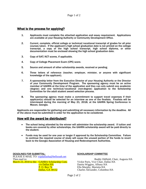#### What is the process for applying?

- 1. Applicants must complete the attached application and essay requirement. Applications are available at your Housing Authority or Community Development Office.
- 2. Current, complete, official college or technical/vocational transcript of grades for all prior courses taken. If the applicant's high school graduation date is not printed on the college transcript, a copy of the high school transcript, high school diploma, or other documentation must be enclosed showing the high school graduation date.
- 3. Copy of SAT/ACT scores, if applicable.
- 4. Copy of College Placement Exam (CPE) score.
- 5. Source and amount of other scholarship awards, received or pending.
- 6. Three letters of reference (teacher, employer, minister, or anyone with significant knowledge of the applicant).
- 7. A sponsorship letter from the Executive Director of your Housing Authority or the Director of your Community Development Program. The sponsoring agency must be an active member of GAHRA at the time of the application and they can only submit one academic (degree) and one technical/vocational (non-degree) application to the Scholarship Committee for the adult student award selection process.
- 8. The sponsoring agency must make a commitment to support travel expenses if their applicant(s) should be selected for an interview as one of the finalists. Finalists will be interviewed during the morning of May 21, 2018, at the GAHRA Spring Conference in Macon, Georgia.

Applicants are responsible for gathering and submitting all necessary information by the deadline. All of the above must be submitted in order for the application to be considered.

#### How will the award be distributed?

- The school being attended by the winner will administer the scholarship award. If tuition and books are covered by other scholarships, the GAHRA scholarship award will be paid directly to the student.
- Funds may be used for one year or longer if approved by the Scholarship Committee. Failure to continue the required course of study will cause the unused portion of the funds to revert back to the Georgia Association of Housing and Redevelopment Authorities.

DEADLINES FOR SUBMITTAL- SCHOLARSHIP COMMITTEE PLEASE E-MAIL TO: <u>vopdallasha@bellsouth.net</u><br>Then mail to: March 23, 2018 to the: GAHRA Scholarship Com.<br> $\frac{c}{\omega}$  Dallas HA c/o Dallas HA Danita Wiggins, Albany HA P. O. Box 74 Ella Murphy, Marietta HA

Buddy Oldfield, Chair, Augusta HA<br>Vickie Paris, Vice Chair, Dallas HA Charles Alexander, Columbus HA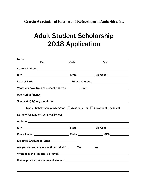**Georgia Association of Housing and Redevelopment Authorities, Inc.**

## Adult Student Scholarship <sup>2018</sup> Application

| First                                                                                                           | Middle                                                               | Last      |  |
|-----------------------------------------------------------------------------------------------------------------|----------------------------------------------------------------------|-----------|--|
|                                                                                                                 |                                                                      |           |  |
|                                                                                                                 |                                                                      |           |  |
|                                                                                                                 | Date of Birth: 2000 Connection 2000 Phone Number: 2000 Phone Number: |           |  |
|                                                                                                                 |                                                                      |           |  |
|                                                                                                                 |                                                                      |           |  |
| Sponsoring Agency's Address: Manual Community of Sponsoring Agency's Address:                                   |                                                                      |           |  |
| Type of Scholarship applying for: $\Box$ Academic or $\Box$ Vocational/Technical                                |                                                                      |           |  |
|                                                                                                                 |                                                                      |           |  |
|                                                                                                                 |                                                                      |           |  |
| City: 2ip Code: 2.12 City: 2.12 City: 2.12 Code: 2.12 Code: 2.12 Code: 2.12 Code: 2.12 Code: 2.12 Code: 2.12 Co |                                                                      |           |  |
|                                                                                                                 |                                                                      |           |  |
| Expected Graduation Date: 2008. [19] Date:                                                                      |                                                                      |           |  |
| Are you currently receiving financial aid? The Yes                                                              |                                                                      | <b>No</b> |  |
| What does the financial aid cover?<br><u> What does the financial aid cover?</u>                                |                                                                      |           |  |
|                                                                                                                 |                                                                      |           |  |
|                                                                                                                 |                                                                      |           |  |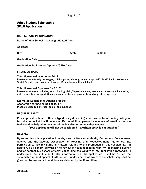#### Adult Student Scholarship 2018 Application

HIGH SCHOOL INFORMATION

Name of High School that you graduated from: Name of High School that you graduated from:

Address:

City: City: City: City: City: City: City: City: City: City: City: City: City: City: City: City: City: City: City: City: City: City: City: City: City: City: City: City: City: City: City: City: City: City: City: City: City:

| <b>Graduation Date:</b> |  |
|-------------------------|--|
|                         |  |

Graduation Equivalency Diploma (GED) Date:

#### FINANCIAL DATA

Total Household Income for 2017:

Please include family net wages, child support, alimony, food stamps, WIC, TANF, Public Assistance, Social Security, and any other income. Do not include financial aid.

Total Household Expenses for 2017: Please include rent, utilities, food, clothing, child/dependent care, medical expenses and insurance, auto loan, other transportation expenses, debts/loan payments, and any other expenses.

Estimated Educational Expenses for the Academic Year beginning Fall 2017: Please include tuition, fees, books, and supplies.

#### REQUIRED ESSAY

Please provide a handwritten or typed essay describing your reasons for attending college or technical school at this time in your life. In addition, please include any information that you feel would be helpful to the committee in selecting scholarship winners.

#### [Your application will not be considered if a written essay is not attached.]

#### RELEASE

By submitting this application, I hereby give my Housing Authority/Community Development Agency and the Georgia Association of Housing and Redevelopment Authorities, Inc. permission to use my name in matters relating to the promotion of this scholarship. In addition, I give them permission to review my tenant records with my sponsoring agency and/or contact my school office(s) concerning the validity of my application materials. I understand that if I submit false information on this application, I will be denied the scholarship without appeal. Furthermore, I understand that award of the scholarship shall be governed by any and all conditions established by the Committee.

Applicant: //

*Signature Date*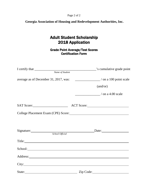#### Page 2 of 2

**Georgia Association of Housing and Redevelopment Authorities, Inc.**

#### Adult Student Scholarship 2018 Application

Grade Point Average/Test Scores Certification Form

| Name of Student |                                                                                  |
|-----------------|----------------------------------------------------------------------------------|
|                 | average as of December 31, 2017, was: ____________________/ on a 100 point scale |
|                 | (and/or)                                                                         |
|                 | / on a 4.00 scale                                                                |
|                 |                                                                                  |
|                 |                                                                                  |
|                 |                                                                                  |
|                 | Signature: Date: Date:                                                           |
|                 | Title:                                                                           |
|                 |                                                                                  |
|                 | Address: <u>Address:</u>                                                         |
|                 |                                                                                  |
| State:          | Zip Code:                                                                        |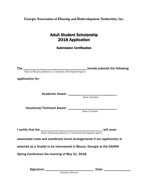**Georgia Association of Housing and Redevelopment Authorities, Inc.**

### Adult Student Scholarship 2018 Application

Submission Certification

| <b>The</b><br><b>Name of Housing Authority or Community Development Agency</b> | hereby submits the following |  |
|--------------------------------------------------------------------------------|------------------------------|--|
| applicant(s) for:                                                              |                              |  |
| Academic Award - ____________________                                          |                              |  |
|                                                                                | Name of Student              |  |
| Vocational/Technical Award - ______                                            | Name of Student              |  |
| Name of Housing Authority or Community Development Agency                      | will cover                   |  |
| associated costs and coordinate travel arrangements if our applicant(s) is     |                              |  |
| selected as a finalist to be interviewed in Macon, Georgia at the GAHRA        |                              |  |
| Spring Conference the morning of May 21, 2018.                                 |                              |  |

Signature: \_\_\_\_\_\_\_\_\_\_\_\_\_\_\_\_\_\_\_\_\_\_\_\_\_\_\_\_\_ Date: \_\_\_\_\_\_\_\_\_\_\_\_\_\_\_\_ *Executive Director*